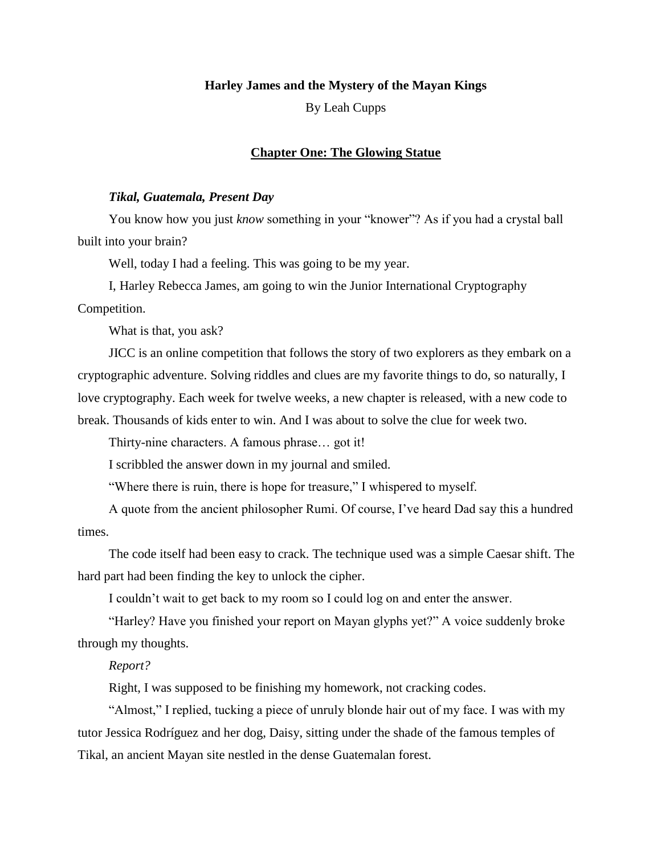## **Harley James and the Mystery of the Mayan Kings**

By Leah Cupps

## **Chapter One: The Glowing Statue**

## *Tikal, Guatemala, Present Day*

You know how you just *know* something in your "knower"? As if you had a crystal ball built into your brain?

Well, today I had a feeling. This was going to be my year.

I, Harley Rebecca James, am going to win the Junior International Cryptography Competition.

What is that, you ask?

JICC is an online competition that follows the story of two explorers as they embark on a cryptographic adventure. Solving riddles and clues are my favorite things to do, so naturally, I love cryptography. Each week for twelve weeks, a new chapter is released, with a new code to break. Thousands of kids enter to win. And I was about to solve the clue for week two.

Thirty-nine characters. A famous phrase… got it!

I scribbled the answer down in my journal and smiled.

"Where there is ruin, there is hope for treasure," I whispered to myself.

A quote from the ancient philosopher Rumi. Of course, I've heard Dad say this a hundred times.

The code itself had been easy to crack. The technique used was a simple Caesar shift. The hard part had been finding the key to unlock the cipher.

I couldn't wait to get back to my room so I could log on and enter the answer.

"Harley? Have you finished your report on Mayan glyphs yet?" A voice suddenly broke through my thoughts.

## *Report?*

Right, I was supposed to be finishing my homework, not cracking codes.

"Almost," I replied, tucking a piece of unruly blonde hair out of my face. I was with my tutor Jessica Rodríguez and her dog, Daisy, sitting under the shade of the famous temples of Tikal, an ancient Mayan site nestled in the dense Guatemalan forest.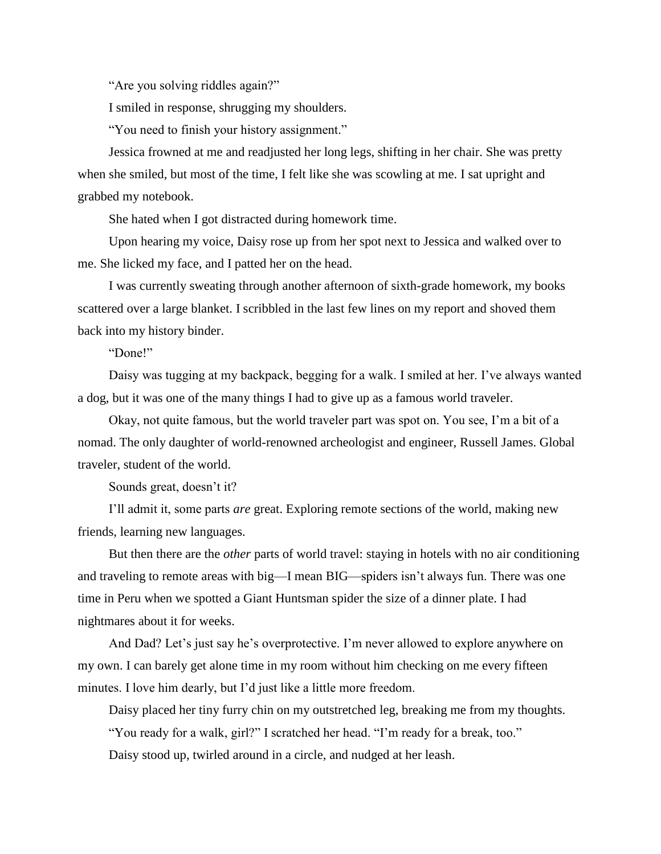"Are you solving riddles again?"

I smiled in response, shrugging my shoulders.

"You need to finish your history assignment."

Jessica frowned at me and readjusted her long legs, shifting in her chair. She was pretty when she smiled, but most of the time, I felt like she was scowling at me. I sat upright and grabbed my notebook.

She hated when I got distracted during homework time.

Upon hearing my voice, Daisy rose up from her spot next to Jessica and walked over to me. She licked my face, and I patted her on the head.

I was currently sweating through another afternoon of sixth-grade homework, my books scattered over a large blanket. I scribbled in the last few lines on my report and shoved them back into my history binder.

"Done!"

Daisy was tugging at my backpack, begging for a walk. I smiled at her. I've always wanted a dog, but it was one of the many things I had to give up as a famous world traveler.

Okay, not quite famous, but the world traveler part was spot on. You see, I'm a bit of a nomad. The only daughter of world-renowned archeologist and engineer, Russell James. Global traveler, student of the world.

Sounds great, doesn't it?

I'll admit it, some parts *are* great. Exploring remote sections of the world, making new friends, learning new languages.

But then there are the *other* parts of world travel: staying in hotels with no air conditioning and traveling to remote areas with big—I mean BIG—spiders isn't always fun. There was one time in Peru when we spotted a Giant Huntsman spider the size of a dinner plate. I had nightmares about it for weeks.

And Dad? Let's just say he's overprotective. I'm never allowed to explore anywhere on my own. I can barely get alone time in my room without him checking on me every fifteen minutes. I love him dearly, but I'd just like a little more freedom.

Daisy placed her tiny furry chin on my outstretched leg, breaking me from my thoughts. "You ready for a walk, girl?" I scratched her head. "I'm ready for a break, too." Daisy stood up, twirled around in a circle, and nudged at her leash.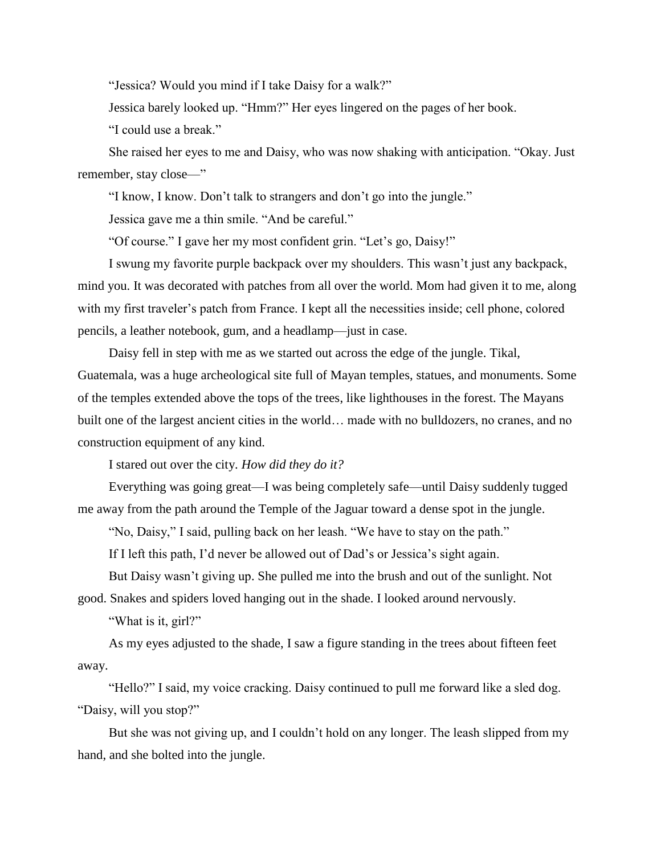"Jessica? Would you mind if I take Daisy for a walk?"

Jessica barely looked up. "Hmm?" Her eyes lingered on the pages of her book.

"I could use a break."

She raised her eyes to me and Daisy, who was now shaking with anticipation. "Okay. Just remember, stay close—"

"I know, I know. Don't talk to strangers and don't go into the jungle."

Jessica gave me a thin smile. "And be careful."

"Of course." I gave her my most confident grin. "Let's go, Daisy!"

I swung my favorite purple backpack over my shoulders. This wasn't just any backpack, mind you. It was decorated with patches from all over the world. Mom had given it to me, along with my first traveler's patch from France. I kept all the necessities inside; cell phone, colored pencils, a leather notebook, gum, and a headlamp—just in case.

Daisy fell in step with me as we started out across the edge of the jungle. Tikal, Guatemala, was a huge archeological site full of Mayan temples, statues, and monuments. Some of the temples extended above the tops of the trees, like lighthouses in the forest. The Mayans built one of the largest ancient cities in the world… made with no bulldozers, no cranes, and no construction equipment of any kind.

I stared out over the city. *How did they do it?*

Everything was going great—I was being completely safe—until Daisy suddenly tugged me away from the path around the Temple of the Jaguar toward a dense spot in the jungle.

"No, Daisy," I said, pulling back on her leash. "We have to stay on the path."

If I left this path, I'd never be allowed out of Dad's or Jessica's sight again.

But Daisy wasn't giving up. She pulled me into the brush and out of the sunlight. Not good. Snakes and spiders loved hanging out in the shade. I looked around nervously.

"What is it, girl?"

As my eyes adjusted to the shade, I saw a figure standing in the trees about fifteen feet away.

"Hello?" I said, my voice cracking. Daisy continued to pull me forward like a sled dog. "Daisy, will you stop?"

But she was not giving up, and I couldn't hold on any longer. The leash slipped from my hand, and she bolted into the jungle.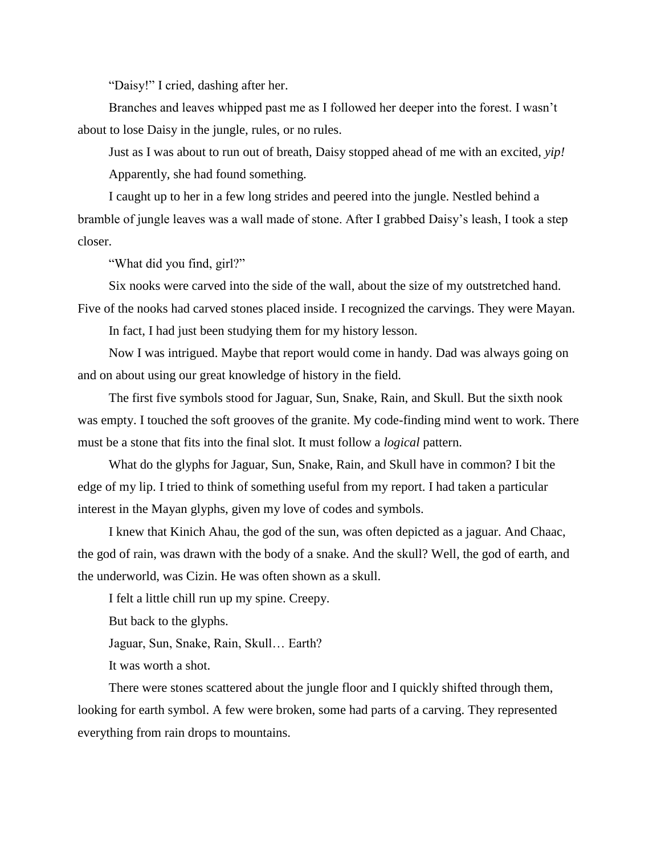"Daisy!" I cried, dashing after her.

Branches and leaves whipped past me as I followed her deeper into the forest. I wasn't about to lose Daisy in the jungle, rules, or no rules.

Just as I was about to run out of breath, Daisy stopped ahead of me with an excited, *yip!* Apparently, she had found something.

I caught up to her in a few long strides and peered into the jungle. Nestled behind a bramble of jungle leaves was a wall made of stone. After I grabbed Daisy's leash, I took a step closer.

"What did you find, girl?"

Six nooks were carved into the side of the wall, about the size of my outstretched hand. Five of the nooks had carved stones placed inside. I recognized the carvings. They were Mayan.

In fact, I had just been studying them for my history lesson.

Now I was intrigued. Maybe that report would come in handy. Dad was always going on and on about using our great knowledge of history in the field.

The first five symbols stood for Jaguar, Sun, Snake, Rain, and Skull. But the sixth nook was empty. I touched the soft grooves of the granite. My code-finding mind went to work. There must be a stone that fits into the final slot. It must follow a *logical* pattern.

What do the glyphs for Jaguar, Sun, Snake, Rain, and Skull have in common? I bit the edge of my lip. I tried to think of something useful from my report. I had taken a particular interest in the Mayan glyphs, given my love of codes and symbols.

I knew that Kinich Ahau, the god of the sun, was often depicted as a jaguar. And Chaac, the god of rain, was drawn with the body of a snake. And the skull? Well, the god of earth, and the underworld, was Cizin. He was often shown as a skull.

I felt a little chill run up my spine. Creepy.

But back to the glyphs.

Jaguar, Sun, Snake, Rain, Skull… Earth?

It was worth a shot.

There were stones scattered about the jungle floor and I quickly shifted through them, looking for earth symbol. A few were broken, some had parts of a carving. They represented everything from rain drops to mountains.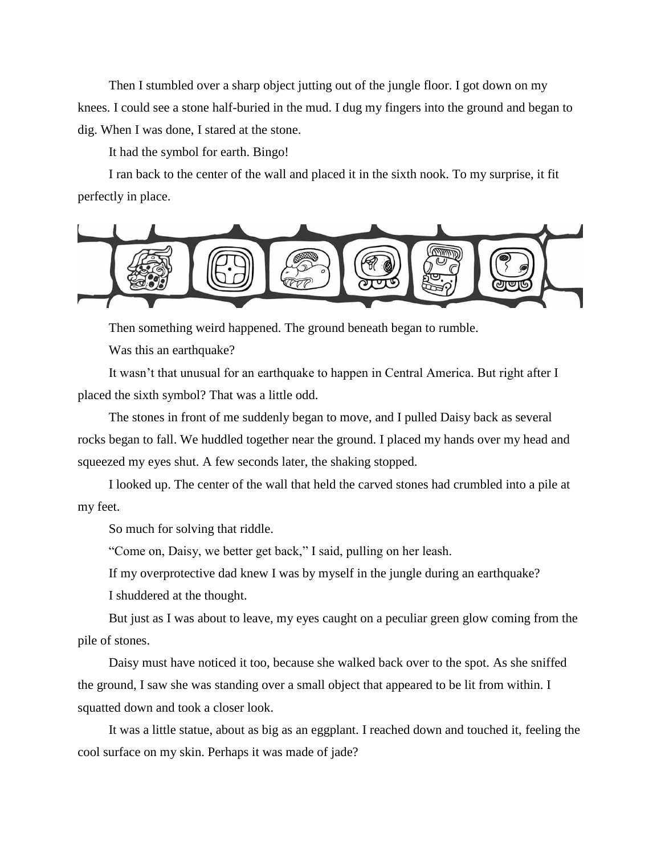Then I stumbled over a sharp object jutting out of the jungle floor. I got down on my knees. I could see a stone half-buried in the mud. I dug my fingers into the ground and began to dig. When I was done, I stared at the stone.

It had the symbol for earth. Bingo!

I ran back to the center of the wall and placed it in the sixth nook. To my surprise, it fit perfectly in place.



Then something weird happened. The ground beneath began to rumble.

Was this an earthquake?

It wasn't that unusual for an earthquake to happen in Central America. But right after I placed the sixth symbol? That was a little odd.

The stones in front of me suddenly began to move, and I pulled Daisy back as several rocks began to fall. We huddled together near the ground. I placed my hands over my head and squeezed my eyes shut. A few seconds later, the shaking stopped.

I looked up. The center of the wall that held the carved stones had crumbled into a pile at my feet.

So much for solving that riddle.

"Come on, Daisy, we better get back," I said, pulling on her leash.

If my overprotective dad knew I was by myself in the jungle during an earthquake?

I shuddered at the thought.

But just as I was about to leave, my eyes caught on a peculiar green glow coming from the pile of stones.

Daisy must have noticed it too, because she walked back over to the spot. As she sniffed the ground, I saw she was standing over a small object that appeared to be lit from within. I squatted down and took a closer look.

It was a little statue, about as big as an eggplant. I reached down and touched it, feeling the cool surface on my skin. Perhaps it was made of jade?